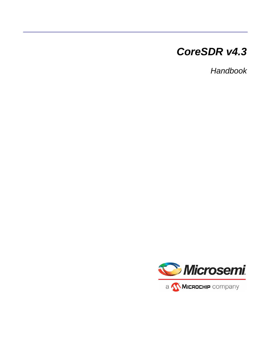# *CoreSDR v4.3*

*Handbook*

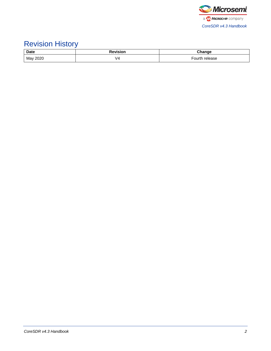

# Revision History

| <b>Date</b> | <b>Revision</b> | Chanɑe            |
|-------------|-----------------|-------------------|
| May 2020    | V4              | Fourth<br>release |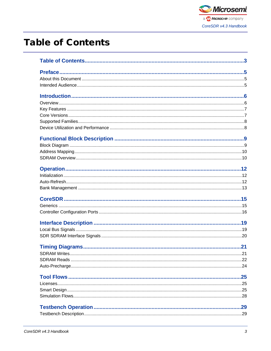

# <span id="page-2-0"></span>**Table of Contents**

| SDRAM Writes | 21 |
|--------------|----|
|              |    |
|              |    |
|              |    |
|              |    |
|              |    |
|              |    |
|              |    |
|              |    |
|              |    |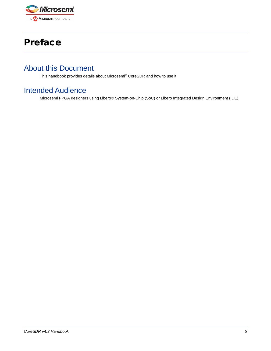

# <span id="page-4-0"></span>Preface

# <span id="page-4-1"></span>About this Document

This handbook provides details about Microsemi® CoreSDR and how to use it.

## <span id="page-4-2"></span>Intended Audience

Microsemi FPGA designers using Libero® System-on-Chip (SoC) or Libero Integrated Design Environment (IDE).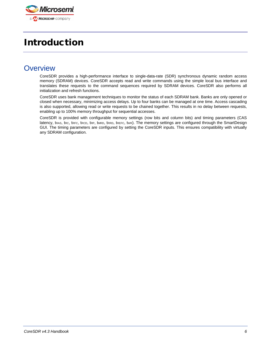

# <span id="page-5-0"></span>Introduction

### <span id="page-5-1"></span>**Overview**

CoreSDR provides a high-performance interface to single-data-rate (SDR) synchronous dynamic random access memory (SDRAM) devices. CoreSDR accepts read and write commands using the simple local bus interface and translates these requests to the command sequences required by SDRAM devices. CoreSDR also performs all initialization and refresh functions.

CoreSDR uses bank management techniques to monitor the status of each SDRAM bank. Banks are only opened or closed when necessary, minimizing access delays. Up to four banks can be managed at one time. Access cascading is also supported, allowing read or write requests to be chained together. This results in no delay between requests, enabling up to 100% memory throughput for sequential accesses.

CoreSDR is provided with configurable memory settings (row bits and column bits) and timing parameters (CAS latency, tRAS, tRC, tRFC, tRCD, tRP, tMRD, tRRD, tREFC, twR). The memory settings are configured through the SmartDesign GUI. The timing parameters are configured by setting the CoreSDR inputs. This ensures compatibility with virtually any SDRAM configuration.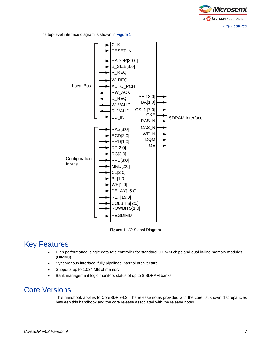

The top-level interface diagram is shown in [Figure 1.](#page-6-2)



<span id="page-6-2"></span>**Figure 1** I/O Signal Diagram

## <span id="page-6-0"></span>Key Features

- High performance, single data rate controller for standard SDRAM chips and dual in-line memory modules (DIMMs)
- Synchronous interface, fully pipelined internal architecture
- Supports up to 1,024 MB of memory
- Bank management logic monitors status of up to 8 SDRAM banks.

### <span id="page-6-1"></span>Core Versions

This handbook applies to CoreSDR v4.3. The release notes provided with the core list known discrepancies between this handbook and the core release associated with the release notes.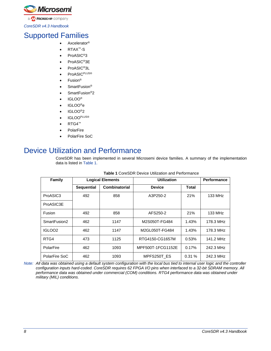

# <span id="page-7-0"></span>Supported Families

- Axcelerator<sup>®</sup>
- RTAX™-S
- ProASIC<sup>®</sup>3
- ProASIC<sup>®</sup>3E
- ProASIC<sup>®</sup>3L
- ProASIC<sup>PLUS®</sup>
- Fusion®
- SmartFusion<sup>®</sup>
- SmartFusion<sup>®</sup>2
- IGLOO®
- IGLOO®e
- IGLOO®2
- IGLOOPLUS®
- RTG4™
- **PolarFire**
- PolarFire SoC

### <span id="page-7-2"></span><span id="page-7-1"></span>Device Utilization and Performance

CoreSDR has been implemented in several Microsemi device families. A summary of the implementation data is listed in [Table 1.](#page-7-2)

| <b>Family</b>      | <b>Logical Elements</b> |               | <b>Utilization</b> |              |           |  |
|--------------------|-------------------------|---------------|--------------------|--------------|-----------|--|
|                    | <b>Sequential</b>       | Combinatorial | <b>Device</b>      | <b>Total</b> |           |  |
| ProASIC3           | 492                     | 858           | A3P250-2           | 21%          | 133 MHz   |  |
| ProASIC3E          |                         |               |                    |              |           |  |
| Fusion             | 492                     | 858           | AFS250-2           | 21%          | 133 MHz   |  |
| SmartFusion2       | 462                     | 1147          | M2S050T-FG484      | 1.43%        | 178.3 MHz |  |
| IGLOO <sub>2</sub> | 462                     | 1147          | M2GL050T-FG484     | 1.43%        | 178.3 MHz |  |
| RTG4               | 473                     | 1125          | RTG4150-CG1657M    | 0.53%        | 141.2 MHz |  |
| PolarFire          | 462                     | 1093          | MPF500T-1FCG1152E  | 0.17%        | 242.3 MHz |  |
| PolarFire SoC      | 462                     | 1093          | MPFS250T ES        | 0.31%        | 242.3 MHz |  |

#### **Table 1** CoreSDR Device Utilization and Performance

*Note: All data was obtained using a default system configuration with the local bus tied to internal user logic and the controller configuration inputs hard-coded. CoreSDR requires 62 FPGA I/O pins when interfaced to a 32-bit SDRAM memory. All performance data was obtained under commercial (COM) conditions. RTG4 performance data was obtained under military (MIL) conditions.*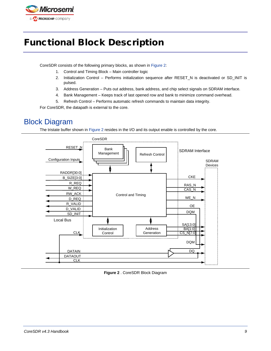

# <span id="page-8-0"></span>Functional Block Description

CoreSDR consists of the following primary blocks, as shown in [Figure 2:](#page-8-2)

- 1. Control and Timing Block Main controller logic
- 2. Initialization Control Performs initialization sequence after RESET\_N is deactivated or SD\_INIT is pulsed.
- 3. Address Generation Puts out address, bank address, and chip select signals on SDRAM interface.
- 4. Bank Management Keeps track of last opened row and bank to minimize command overhead.
- 5. Refresh Control Performs automatic refresh commands to maintain data integrity.

For CoreSDR, the datapath is external to the core.

# <span id="page-8-1"></span>Block Diagram

The tristate buffer shown in [Figure 2](#page-8-2) resides in the I/O and its output enable is controlled by the core.



<span id="page-8-2"></span>**Figure 2** . CoreSDR Block Diagram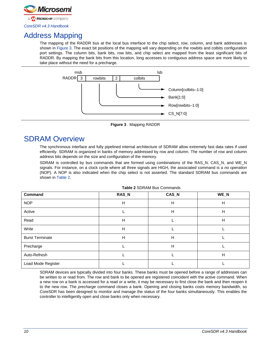

# <span id="page-9-0"></span>Address Mapping

The mapping of the RADDR bus at the local bus interface to the chip select, row, column, and bank addresses is shown in [Figure 3.](#page-9-2) The exact bit positions of the mapping will vary depending on the rowbits and colbits configuration port settings. The column bits, bank bits, row bits, and chip select are mapped from the least significant bits of RADDR. By mapping the bank bits from this location, long accesses to contiguous address space are more likely to take place without the need for a precharge.



**Figure 3** . Mapping RADDR

## <span id="page-9-2"></span><span id="page-9-1"></span>SDRAM Overview

The synchronous interface and fully pipelined internal architecture of SDRAM allow extremely fast data rates if used efficiently. SDRAM is organized in banks of memory addressed by row and column. The number of row and column address bits depends on the size and configuration of the memory.

SDRAM is controlled by bus commands that are formed using combinations of the RAS\_N, CAS\_N, and WE\_N signals. For instance, on a clock cycle where all three signals are HIGH, the associated command is a *no operation* (NOP). A NOP is also indicated when the chip select is not asserted. The standard SDRAM bus commands are shown in [Table 2.](#page-9-3)

<span id="page-9-3"></span>

| Command                | RAS_N | CAS_N | WE_N |
|------------------------|-------|-------|------|
| <b>NOP</b>             | н     | Н     | н    |
| Active                 |       | Н     | Н    |
| Read                   | Н     |       | н    |
| Write                  | Н     |       |      |
| <b>Burst Terminate</b> | H     | H     |      |
| Precharge              |       | H     |      |
| Auto-Refresh           |       |       | н    |
| Load Mode Register     |       |       |      |

**Table 2** SDRAM Bus Commands

SDRAM devices are typically divided into four banks. These banks must be opened before a range of addresses can be written to or read from. The row and bank to be opened are registered coincident with the *active* command. When a new row on a bank is accessed for a read or a write, it may be necessary to first close the bank and then reopen it to the new row. The *precharge* command closes a bank. Opening and closing banks costs memory bandwidth, so CoreSDR has been designed to monitor and manage the status of the four banks simultaneously. This enables the controller to intelligently open and close banks only when necessary.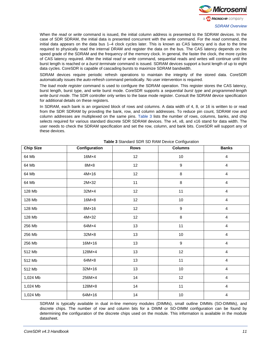

When the *read* or *write* command is issued, the initial column address is presented to the SDRAM devices. In the case of SDR SDRAM, the initial data is presented concurrent with the *write* command. For the *read* command, the initial data appears on the data bus 1–4 clock cycles later. This is known as CAS latency and is due to the time required to physically read the internal DRAM and register the data on the bus. The CAS latency depends on the speed grade of the SDRAM and the frequency of the memory clock. In general, the faster the clock, the more cycles of CAS latency required. After the initial *read* or *write* command, sequential reads and writes will continue until the burst length is reached or a *burst terminate* command is issued. SDRAM devices support a burst length of up to eight data cycles. CoreSDR is capable of cascading bursts to maximize SDRAM bandwidth.

SDRAM devices require periodic refresh operations to maintain the integrity of the stored data. CoreSDR automatically issues the *auto-refresh* command periodically. No user intervention is required.

The *load mode register* command is used to configure the SDRAM operation. This register stores the CAS latency, burst length, burst type, and write burst mode. CoreSDR supports a *sequential burst type* and *programmed-length write burst mode*. The SDR controller only writes to the base mode register. Consult the SDRAM device specification for additional details on these registers.

In SDRAM, each bank is an organized block of rows and columns. A data width of 4, 8, or 16 is written to or read from the SDR SDRAM by providing the bank, row, and column addresses. To reduce pin count, SDRAM row and column addresses are multiplexed on the same pins. [Table 3](#page-10-0) lists the number of rows, columns, banks, and chip selects required for various standard discrete SDR SDRAM devices. The x4, x8, and x16 stand for data width. The user needs to check the SDRAM specification and set the row, column, and bank bits. CoreSDR will support any of these devices.

<span id="page-10-0"></span>

| <b>Chip Size</b> | Configuration  | <b>Rows</b> | <b>Columns</b>   | <b>Banks</b>            |
|------------------|----------------|-------------|------------------|-------------------------|
| 64 Mb            | $16M \times 4$ | 12          | 10               | $\overline{\mathbf{4}}$ |
| 64 Mb            | $8M \times 8$  | 12          | $\boldsymbol{9}$ | 4                       |
| 64 Mb            | $4M \times 16$ | 12          | 8                | $\overline{4}$          |
| 64 Mb            | $2M \times 32$ | 11          | 8                | $\overline{4}$          |
| 128 Mb           | 32M×4          | 12          | 11               | $\overline{4}$          |
| 128 Mb           | $16M \times 8$ | 12          | 10               | 4                       |
| 128 Mb           | $8M \times 16$ | 12          | $\boldsymbol{9}$ | $\overline{4}$          |
| 128 Mb           | $4M \times 32$ | 12          | $\bf 8$          | $\overline{4}$          |
| 256 Mb           | 64M×4          | 13          | 11               | $\overline{\mathbf{4}}$ |
| 256 Mb           | $32M \times 8$ | 13          | $10\,$           | 4                       |
| 256 Mb           | 16M×16         | 13          | $\boldsymbol{9}$ | 4                       |
| 512 Mb           | 128M×4         | 13          | 12               | $\overline{4}$          |
| 512 Mb           | $64M \times 8$ | 13          | 11               | $\overline{4}$          |
| 512 Mb           | 32M×16         | 13          | 10               | 4                       |
| 1,024 Mb         | 256M×4         | 14          | 12               | $\overline{\mathbf{4}}$ |
| 1,024 Mb         | 128M×8         | 14          | 11               | 4                       |
| 1,024 Mb         | 64M×16         | 14          | $10\,$           | $\overline{\mathbf{4}}$ |

**Table 3** Standard SDR SD RAM Device Configuration

SDRAM is typically available in dual in-line memory modules (DIMMs), small outline DIMMs (SO-DIMMs), and discrete chips. The number of row and column bits for a DIMM or SO-DIMM configuration can be found by determining the configuration of the discrete chips used on the module. This information is available in the module datasheet.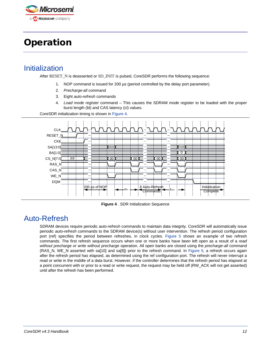

# <span id="page-11-0"></span>**Operation**

### <span id="page-11-1"></span>Initialization

After RESET\_N is deasserted or SD\_INIT is pulsed, CoreSDR performs the following sequence:

- 1. NOP command is issued for 200 µs (period controlled by the delay port parameter).
- 2. *Precharge-all* command
- 3. Eight *auto-refresh* commands
- 4. *Load mode register* command This causes the SDRAM mode register to be loaded with the proper burst length (bl) and CAS latency (cl) values.

CoreSDR initialization timing is shown in [Figure 4.](#page-11-3)



**Figure 4** . SDR Initialization Sequence

# <span id="page-11-3"></span><span id="page-11-2"></span>Auto-Refresh

SDRAM devices require periodic *auto-refresh* commands to maintain data integrity. CoreSDR will automatically issue periodic *auto-refresh* commands to the SDRAM device(s) without user intervention. The refresh period configuration port (ref) specifies the period between refreshes, in clock cycles. [Figure 5](#page-12-1) shows an example of two refresh commands. The first refresh sequence occurs when one or more banks have been left open as a result of a *read without precharge or write without precharge* operation. All open banks are closed using the *precharge-all* command (RAS\_N, WE\_N asserted with sa[10] and sa[8]) prior to the refresh command. In [Figure 5,](#page-12-1) a refresh occurs again after the refresh period has elapsed, as determined using the ref configuration port. The refresh will never interrupt a read or write in the middle of a data burst. However, if the controller determines that the refresh period has elapsed at a point concurrent with or prior to a read or write request, the request may be held off (RW\_ACK will not get asserted) until after the refresh has been performed.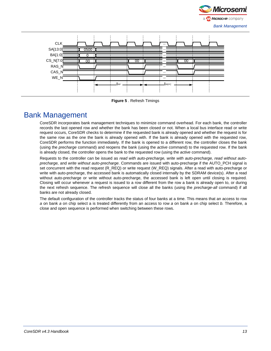



**Figure 5** . Refresh Timings

## <span id="page-12-1"></span><span id="page-12-0"></span>Bank Management

CoreSDR incorporates bank management techniques to minimize command overhead. For each bank, the controller records the last opened row and whether the bank has been closed or not. When a local bus interface read or write request occurs, CoreSDR checks to determine if the requested bank is already opened and whether the request is for the same row as the one the bank is already opened with. If the bank is already opened with the requested row, CoreSDR performs the function immediately. If the bank is opened to a different row, the controller closes the bank (using the *precharge* command) and reopens the bank (using the *active* command) to the requested row. If the bank is already closed, the controller opens the bank to the requested row (using the *active* command).

Requests to the controller can be issued as *read with auto-precharge, write with auto-precharge, read without autoprecharge,* and *write without auto-precharge*. Commands are issued with auto-precharge if the AUTO\_PCH signal is set concurrent with the read request (R\_REQ) or write request (W\_REQ) signals. After a read with auto-precharge or write with auto-precharge, the accessed bank is automatically closed internally by the SDRAM device(s). After a read without auto-precharge or write without auto-precharge, the accessed bank is left open until closing is required. Closing will occur whenever a request is issued to a row different from the row a bank is already open to, or during the next refresh sequence. The refresh sequence will close all the banks (using the *precharge-all* command) if all banks are not already closed.

The default configuration of the controller tracks the status of four banks at a time. This means that an access to row *a* on bank *a* on chip select a is treated differently from an access to row *a* on bank *a* on chip select *b.* Therefore, a close and open sequence is performed when switching between these rows.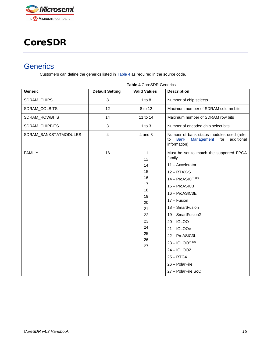

# <span id="page-13-0"></span>CoreSDR

## <span id="page-13-1"></span>**Generics**

Customers can define the generics listed i[n Table 4](#page-13-2) as required in the source code.

<span id="page-13-2"></span>

| <b>Generic</b>        | <b>Default Setting</b> | <b>I AVIC 4 COICODIN OCTICITOS</b><br><b>Valid Values</b> | <b>Description</b>                                                                                                |
|-----------------------|------------------------|-----------------------------------------------------------|-------------------------------------------------------------------------------------------------------------------|
| SDRAM_CHIPS           | $\, 8$                 | $1$ to $8$                                                | Number of chip selects                                                                                            |
| SDRAM_COLBITS         | 12                     | 8 to 12                                                   | Maximum number of SDRAM column bits                                                                               |
| SDRAM_ROWBITS         | 14                     | 11 to 14                                                  | Maximum number of SDRAM row bits                                                                                  |
| SDRAM_CHIPBITS        | $\sqrt{3}$             | $1$ to $3$                                                | Number of encoded chip select bits                                                                                |
| SDRAM_BANKSTATMODULES | $\overline{4}$         | $4$ and $8$                                               | Number of bank status modules used (refer<br>additional<br><b>Bank</b><br>Management<br>for<br>to<br>information) |
| <b>FAMILY</b>         | 16                     | 11<br>12                                                  | Must be set to match the supported FPGA<br>family.                                                                |
|                       |                        | 14                                                        | $11 -$ Axcelerator                                                                                                |
|                       |                        | 15                                                        | $12 - RTAX-S$                                                                                                     |
|                       |                        | 16                                                        | 14 - ProASIC <sup>PLUS</sup>                                                                                      |
|                       |                        | 17                                                        | 15 - ProASIC3                                                                                                     |
|                       |                        | 18                                                        | 16 - ProASIC3E                                                                                                    |
|                       |                        | 19<br>20                                                  | 17 - Fusion                                                                                                       |
|                       |                        | 21                                                        | 18 - SmartFusion                                                                                                  |
|                       |                        | 22                                                        | 19 - SmartFusion2                                                                                                 |
|                       |                        | 23                                                        | $20 - IGLOO$                                                                                                      |
|                       |                        | 24                                                        | $21 - IGLOOe$                                                                                                     |
|                       |                        | 25                                                        | 22 - ProASIC3L                                                                                                    |
|                       |                        | 26<br>27                                                  | $23 - IGLOOPLUS$                                                                                                  |
|                       |                        |                                                           | 24-IGLOO2                                                                                                         |
|                       |                        |                                                           | $25 - RTG4$                                                                                                       |
|                       |                        |                                                           | 26 - PolarFire                                                                                                    |
|                       |                        |                                                           | 27 - PolarFire SoC                                                                                                |

#### **Table 4** CoreSDR Generics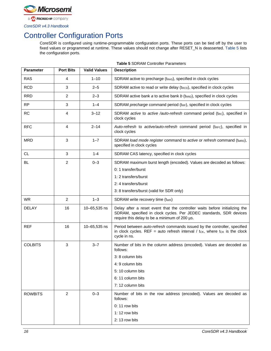

# <span id="page-14-0"></span>Controller Configuration Ports

CoreSDR is configured using runtime-programmable configuration ports. These ports can be tied off by the user to fixed values or programmed at runtime. These values should not change after RESET\_N is deasserted. [Table 5](#page-14-1) lists the configuration ports.

**Table 5** SDRAM Controller Parameters

<span id="page-14-1"></span>

| <b>Parameter</b> | <b>Port Bits</b> | <b>Valid Values</b> | <b>Description</b>                                                                                                                                                                                 |
|------------------|------------------|---------------------|----------------------------------------------------------------------------------------------------------------------------------------------------------------------------------------------------|
| <b>RAS</b>       | 4                | $1 - 10$            | SDRAM active to precharge (tRAS), specified in clock cycles                                                                                                                                        |
| <b>RCD</b>       | 3                | $2 - 5$             | SDRAM active to read or write delay (t <sub>RCD</sub> ), specified in clock cycles                                                                                                                 |
| <b>RRD</b>       | 2                | $2 - 3$             | SDRAM active bank a to active bank $b$ (t <sub>RRD</sub> ), specified in clock cycles                                                                                                              |
| <b>RP</b>        | 3                | $1 - 4$             | SDRAM precharge command period (t <sub>RP</sub> ), specified in clock cycles                                                                                                                       |
| <b>RC</b>        | 4                | $3 - 12$            | SDRAM active to active /auto-refresh command period (t <sub>RC</sub> ), specified in<br>clock cycles                                                                                               |
| <b>RFC</b>       | 4                | $2 - 14$            | Auto-refresh to active/auto-refresh command period (tRFC), specified in<br>clock cycles                                                                                                            |
| <b>MRD</b>       | 3                | $1 - 7$             | SDRAM load mode register command to active or refresh command (tMRD),<br>specified in clock cycles                                                                                                 |
| <b>CL</b>        | 3                | $1 - 4$             | SDRAM CAS latency, specified in clock cycles                                                                                                                                                       |
| <b>BL</b>        | 2                | $0 - 3$             | SDRAM maximum burst length (encoded). Values are decoded as follows:                                                                                                                               |
|                  |                  |                     | 0: 1 transfer/burst                                                                                                                                                                                |
|                  |                  |                     | 1: 2 transfers/burst                                                                                                                                                                               |
|                  |                  |                     | 2: 4 transfers/burst                                                                                                                                                                               |
|                  |                  |                     | 3: 8 transfers/burst (valid for SDR only)                                                                                                                                                          |
| <b>WR</b>        | 2                | $1 - 3$             | SDRAM write recovery time (twR)                                                                                                                                                                    |
| <b>DELAY</b>     | 16               | 10-65,535 ns        | Delay after a reset event that the controller waits before initializing the<br>SDRAM, specified in clock cycles. Per JEDEC standards, SDR devices<br>require this delay to be a minimum of 200 µs. |
| <b>REF</b>       | 16               | 10-65,535 ns        | Period between auto-refresh commands issued by the controller, specified<br>in clock cycles. REF = auto refresh interval / $tc_K$ , where $tc_K$ is the clock<br>cycle in ns.                      |
| <b>COLBITS</b>   | 3                | $3 - 7$             | Number of bits in the column address (encoded). Values are decoded as<br>follows:                                                                                                                  |
|                  |                  |                     | 3: 8 column bits                                                                                                                                                                                   |
|                  |                  |                     | 4: 9 column bits                                                                                                                                                                                   |
|                  |                  |                     | 5: 10 column bits                                                                                                                                                                                  |
|                  |                  |                     | 6: 11 column bits                                                                                                                                                                                  |
|                  |                  |                     | 7: 12 column bits                                                                                                                                                                                  |
| <b>ROWBITS</b>   | $\overline{2}$   | $0 - 3$             | Number of bits in the row address (encoded). Values are decoded as<br>follows:                                                                                                                     |
|                  |                  |                     | 0: 11 row bits                                                                                                                                                                                     |
|                  |                  |                     | 1: 12 row bits                                                                                                                                                                                     |
|                  |                  |                     | 2: 13 row bits                                                                                                                                                                                     |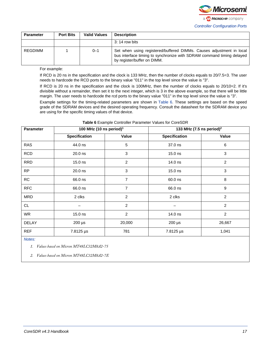

| <b>Parameter</b> | <b>Port Bits</b> | <b>Valid Values</b> | <b>Description</b>                                                                                                                                                           |
|------------------|------------------|---------------------|------------------------------------------------------------------------------------------------------------------------------------------------------------------------------|
|                  |                  |                     | 3: 14 row bits                                                                                                                                                               |
| REGDIMM          |                  | $0 - 1$             | Set when using registered/buffered DIMMs. Causes adjustment in local<br>bus interface timing to synchronize with SDRAM command timing delayed<br>by register/buffer on DIMM. |

For example:

If RCD is 20 ns in the specification and the clock is 133 MHz, then the number of clocks equals to 20/7.5=3. The user needs to hardcode the RCD ports to the binary value "011" in the top level since the value is "3".

If RCD is 20 ns in the specification and the clock is 100MHz, then the number of clocks equals to 20/10=2. If it's divisible without a remainder, then set it to the next integer, which is 3 in the above example, so that there will be little margin. The user needs to hardcode the rcd ports to the binary value "011" in the top level since the value is "3".

Example settings for the timing-related parameters are shown in [Table 6.](#page-15-0) These settings are based on the speed grade of the SDRAM devices and the desired operating frequency. Consult the datasheet for the SDRAM device you are using for the specific timing values of that device.

<span id="page-15-0"></span>

| <b>Parameter</b> | 100 MHz (10 ns period) <sup>1</sup> |                | 133 MHz (7.5 ns period) <sup>2</sup> |                |
|------------------|-------------------------------------|----------------|--------------------------------------|----------------|
|                  | <b>Specification</b>                | Value          | Specification                        | Value          |
| <b>RAS</b>       | 44.0 ns                             | 5              | 37.0 ns                              | 6              |
| <b>RCD</b>       | 20.0 ns                             | 3              | 15.0 ns                              | 3              |
| <b>RRD</b>       | 15.0 ns                             | $\overline{2}$ | 14.0 ns                              | $\overline{2}$ |
| <b>RP</b>        | 20.0 ns                             | 3              | 15.0 ns                              | $\mathbf{3}$   |
| <b>RC</b>        | 66.0 ns                             | 7              | 60.0 ns                              | 8              |
| <b>RFC</b>       | 66.0 ns                             | 7              | 66.0 ns                              | 9              |
| <b>MRD</b>       | 2 clks                              | $\overline{c}$ | 2 clks                               | $\overline{c}$ |
| CL               |                                     | $\overline{c}$ |                                      | $\overline{c}$ |
| <b>WR</b>        | 15.0 ns                             | $\overline{2}$ | 14.0 ns                              | $\overline{2}$ |
| <b>DELAY</b>     | $200 \mu s$                         | 20,000         | $200 \mu s$                          | 26,667         |
| <b>REF</b>       | 7.8125 µs                           | 781            | 7.8125 µs                            | 1,041          |
| Mation           |                                     |                |                                      |                |

#### **Table 6** Example Controller Parameter Values for CoreSDR

*Notes:* 

*1. Values based on Micron MT48LC32M8A2-75*

*2. Values based on Micron MT48LC32M8A2-7E*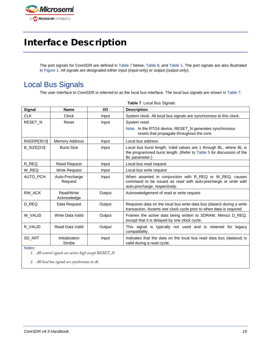

# <span id="page-16-0"></span>Interface Description

The port signals for CoreSDR are defined in [Table 7](#page-16-2) below, [Table 8,](#page-17-1) an[d Table 1.](#page-7-2) The port signals are also illustrated in [Figure 1.](#page-6-2) All signals are designated either input (input-only) or output (output-only).

## <span id="page-16-1"></span>Local Bus Signals

The user interface to CoreSDR is referred to as the local bus interface. The local bus signals are shown i[n Table 7.](#page-16-2)

| Signal             | <b>Name</b>               | <b>I/O</b> | <b>Description</b>                                                                                                                                           |
|--------------------|---------------------------|------------|--------------------------------------------------------------------------------------------------------------------------------------------------------------|
| <b>CLK</b>         | Clock                     | Input      | System clock. All local bus signals are synchronous to this clock.                                                                                           |
| RESET_N            | Reset                     | Input      | System reset<br>Note: In the RTG4 device, RESET N generates synchronous<br>resets that propagate throughout the core.                                        |
| RADDR[30:0]        | <b>Memory Address</b>     | Input      | Local bus address                                                                                                                                            |
| <b>B_SIZE[3:0]</b> | <b>Burst Size</b>         | Input      | Local bus burst length. Valid values are 1 through BL, where BL is<br>the programmed burst length. (Refer to Table 5 for discussion of the<br>BL parameter.) |
| R_REQ              | <b>Read Request</b>       | Input      | Local bus read request                                                                                                                                       |
| W REQ              | <b>Write Request</b>      | Input      | Local bus write request                                                                                                                                      |
| AUTO_PCH           | Auto-Precharge<br>Request | Input      | When asserted in conjunction with R_REQ or W_REQ, causes<br>command to be issued as read with auto-precharge or write with<br>auto-precharge, respectively.  |
| RW_ACK             | Read/Write<br>Acknowledge | Output     | Acknowledgement of read or write request                                                                                                                     |
| D REQ              | Data Request              | Output     | Requests data on the local bus write data bus (datain) during a write<br>transaction. Asserts one clock cycle prior to when data is required.                |
| W VALID            | Write Data Valid          | Output     | Frames the active data being written to SDRAM. Mimics D REQ.<br>except that it is delayed by one clock cycle.                                                |
| R_VALID            | <b>Read Data Valid</b>    | Output     | This signal is typically not used and is retained for legacy<br>compatibility.                                                                               |
| SD INIT            | Initialization<br>Strobe  | Input      | Indicates that the data on the local bus read data bus (dataout) is<br>valid during a read cycle.                                                            |
| Notes:             |                           |            |                                                                                                                                                              |

<span id="page-16-2"></span>**Table 7** Local Bus Signals

*1. All control signals are active high except RESET\_N.*

*2. All local bus signals are synchronous to clk.*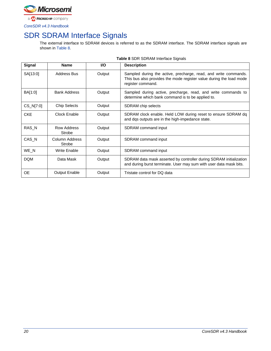

# <span id="page-17-0"></span>SDR SDRAM Interface Signals

The external interface to SDRAM devices is referred to as the SDRAM interface. The SDRAM interface signals are shown in [Table 8.](#page-17-1)

<span id="page-17-1"></span>

| <b>Signal</b> | <b>Name</b>              | <b>VO</b> | <b>Description</b>                                                                                                                                          |
|---------------|--------------------------|-----------|-------------------------------------------------------------------------------------------------------------------------------------------------------------|
| SA[13:0]      | <b>Address Bus</b>       | Output    | Sampled during the active, precharge, read, and write commands.<br>This bus also provides the mode register value during the load mode<br>register command. |
| BA[1:0]       | <b>Bank Address</b>      | Output    | Sampled during active, precharge, read, and write commands to<br>determine which bank command is to be applied to.                                          |
| CS_N[7:0]     | <b>Chip Selects</b>      | Output    | SDRAM chip selects                                                                                                                                          |
| <b>CKE</b>    | Clock Enable             | Output    | SDRAM clock enable. Held LOW during reset to ensure SDRAM dq<br>and dqs outputs are in the high-impedance state.                                            |
| RAS_N         | Row Address<br>Strobe    | Output    | SDRAM command input                                                                                                                                         |
| CAS_N         | Column Address<br>Strobe | Output    | SDRAM command input                                                                                                                                         |
| WE_N          | <b>Write Enable</b>      | Output    | SDRAM command input                                                                                                                                         |
| <b>DQM</b>    | Data Mask                | Output    | SDRAM data mask asserted by controller during SDRAM initialization<br>and during burst terminate. User may sum with user data mask bits.                    |
| <b>OE</b>     | <b>Output Enable</b>     | Output    | Tristate control for DQ data                                                                                                                                |

**Table 8** SDR SDRAM Interface Signals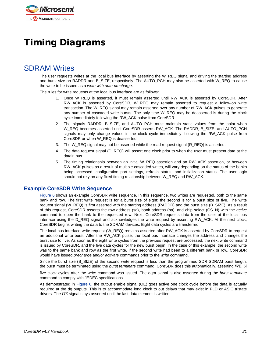

# <span id="page-18-0"></span>Timing Diagrams

### <span id="page-18-1"></span>SDRAM Writes

The user requests writes at the local bus interface by asserting the W\_REQ signal and driving the starting address and burst size on RADDR and B\_SIZE, respectively. The AUTO\_PCH may also be asserted with W\_REQ to cause the write to be issued as a *write with auto-precharge*.

The rules for write requests at the local bus interface are as follows:

- 1. Once W\_REQ is asserted, it must remain asserted until RW\_ACK is asserted by CoreSDR. After RW ACK is asserted by CoreSDR, W\_REQ may remain asserted to request a follow-on write transaction. The W\_REQ signal may remain asserted over any number of RW\_ACK pulses to generate any number of cascaded write bursts. The only time W\_REQ may be deasserted is during the clock cycle immediately following the RW\_ACK pulse from CoreSDR.
- 2. The signals RADDR, B\_SIZE, and AUTO\_PCH must maintain static values from the point when W\_REQ becomes asserted until CoreSDR asserts RW\_ACK. The RADDR, B\_SIZE, and AUTO\_PCH signals may only change values in the clock cycle immediately following the RW ACK pulse from CoreSDR or when W\_REQ is deasserted.
- 3. The W\_REQ signal may not be asserted while the read request signal (R\_REQ) is asserted.
- 4. The data request signal (D\_REQ) will assert one clock prior to when the user must present data at the datain bus.
- 5. The timing relationship between an initial W\_REQ assertion and an RW\_ACK assertion, or between RW\_ACK pulses as a result of multiple cascaded writes, will vary depending on the status of the banks being accessed, configuration port settings, refresh status, and initialization status. The user logic should not rely on any fixed timing relationship between W\_REQ and RW\_ACK.

#### **Example CoreSDR Write Sequence**

[Figure 6](#page-19-1) shows an example CoreSDR write sequence. In this sequence, two writes are requested, both to the same bank and row. The first write request is for a burst size of eight; the second is for a burst size of five. The write request signal (W\_REQ) is first asserted with the starting address (RADDR) and the burst size (B\_SIZE). As a result of this request, CoreSDR asserts the row address (sa), bank address (ba), and chip select (CS\_N) with the *active* command to open the bank to the requested row. Next, CoreSDR requests data from the user at the local bus interface using the D\_REQ signal and acknowledges the write request by asserting RW\_ACK. At the next clock, CoreSDR begins writing the data to the SDRAM devices. Eight data cycles are transferred.

The local bus interface write request (W\_REQ) remains asserted after RW\_ACK is asserted by CoreSDR to request an additional write burst. After the RW\_ACK pulse, the local bus interface changes the address and changes the burst size to five. As soon as the eight write cycles from the previous request are processed, the next write command is issued by CoreSDR, and the five data cycles for the new burst begin. In the case of this example, the second write was to the same bank and row as the first write. If the second write had been to a different bank or row, CoreSDR would have issued *precharge* and/or *activate* commands prior to the *write* command.

Since the burst size (B\_SIZE) of the second write request is less than the programmed SDR SDRAM burst length, the burst must be terminated using the *burst terminate* command. CoreSDR does this automatically, asserting WE\_N

five clock cycles after the *write* command was issued. The dqm signal is also asserted during the *burst terminate* command to comply with JEDEC specifications.

As demonstrated in [Figure 6,](#page-19-1) the output enable signal (OE) goes active one clock cycle before the data is actually required at the dq outputs. This is to accommodate long clock to out delays that may exist in PLD or ASIC tristate drivers. The OE signal stays asserted until the last data element is written.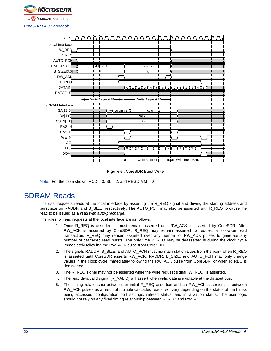



**Figure 6** . CoreSDR Burst Write

<span id="page-19-1"></span>Note: For the case shown,  $RCD = 3$ ,  $BL = 2$ , and  $REGDIMM = 0$ 

## <span id="page-19-0"></span>SDRAM Reads

The user requests reads at the local interface by asserting the R\_REQ signal and driving the starting address and burst size on RADDR and B\_SIZE, respectively. The AUTO\_PCH may also be asserted with R\_REQ to cause the read to be issued as a *read with auto-precharge.*

The rules for read requests at the local interface are as follows:

- 1. Once R\_REQ is asserted, it must remain asserted until RW\_ACK is asserted by CoreSDR. After RW\_ACK is asserted by CoreSDR, R\_REQ may remain asserted to request a follow-on read transaction. R\_REQ may remain asserted over any number of RW\_ACK pulses to generate any number of cascaded read bursts. The only time R\_REQ may be deasserted is during the clock cycle immediately following the RW\_ACK pulse from CoreSDR.
- 2. The signals RADDR, B\_SIZE, and AUTO\_PCH must maintain static values from the point when R\_REQ is asserted until CoreSDR asserts RW\_ACK. RADDR, B\_SIZE, and AUTO\_PCH may only change values in the clock cycle immediately following the RW\_ACK pulse from CoreSDR, or when R\_REQ is deasserted.
- 3. The R\_REQ signal may not be asserted while the write request signal (W\_REQ) is asserted.
- 4. The read data valid signal (R\_VALID) will assert when valid data is available at the dataout bus.
- 5. The timing relationship between an initial R\_REQ assertion and an RW\_ACK assertion, or between RW\_ACK pulses as a result of multiple cascaded reads, will vary depending on the status of the banks being accessed, configuration port settings, refresh status, and initialization status. The user logic should not rely on any fixed timing relationship between R\_REQ and RW\_ACK.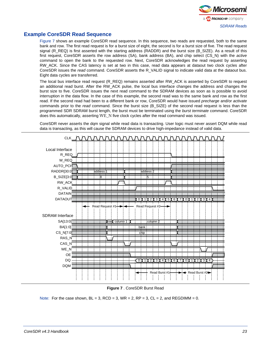

#### **Example CoreSDR Read Sequence**

[Figure 7](#page-20-0) shows an example CoreSDR read sequence. In this sequence, two reads are requested, both to the same bank and row. The first read request is for a burst size of eight, the second is for a burst size of five. The read request signal (R\_REQ) is first asserted with the starting address (RADDR) and the burst size (B\_SIZE). As a result of this first request, CoreSDR asserts the row address (SA), bank address (BA), and chip select (CS\_N) with the *active* command to open the bank to the requested row. Next, CoreSDR acknowledges the read request by asserting RW\_ACK. Since the CAS latency is set at two in this case, read data appears at dataout two clock cycles after CoreSDR issues the *read* command. CoreSDR asserts the R\_VALID signal to indicate valid data at the dataout bus. Eight data cycles are transferred.

The local bus interface read request (R\_REQ) remains asserted after RW\_ACK is asserted by CoreSDR to request an additional read burst. After the RW\_ACK pulse, the local bus interface changes the address and changes the burst size to five. CoreSDR issues the next read command to the SDRAM devices as soon as is possible to avoid interruption in the data flow. In the case of this example, the second read was to the same bank and row as the first read. If the second read had been to a different bank or row, CoreSDR would have issued *precharge* and/or *activate* commands prior to the *read* command. Since the burst size (B\_SIZE) of the second read request is less than the programmed SDR SDRAM burst length, the burst must be terminated using the *burst terminate* command. CoreSDR does this automatically, asserting WE\_N five clock cycles after the read command was issued.

CoreSDR never asserts the dqm signal while read data is transacting. User logic must never assert DQM while read data is transacting, as this will cause the SDRAM devices to drive high-impedance instead of valid data.



**Figure 7** . CoreSDR Burst Read

<span id="page-20-0"></span>Note: For the case shown,  $BL = 3$ ,  $RCD = 3$ ,  $WR = 2$ ,  $RP = 3$ ,  $CL = 2$ , and REGDIMM = 0.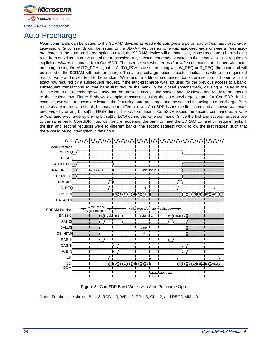

## <span id="page-21-0"></span>Auto-Precharge

*Read* commands can be issued to the SDRAM devices as *read with auto-precharge* or *read without auto-precharge*. Likewise, *write* commands can be issued to the SDRAM devices as *write with auto-precharge* or *write without autoprecharge*. If the auto-precharge option is used, the SDRAM device will automatically close (precharge) banks being read from or written to at the end of the transaction. Any subsequent reads or writes to these banks will not require an explicit *precharge* command from CoreSDR. The user selects whether *read* or *write* commands are issued with autoprecharge using the AUTO\_PCH signal. If AUTO\_PCH is asserted along with W\_REQ or R\_REQ, the command will be issued to the SDRAM with auto-precharge. The auto-precharge option is useful in situations where the requested read or write addresses tend to be random. With random address sequences, banks are seldom left open with the exact row required by a subsequent request. If the auto-precharge was not used for the previous access to a bank, subsequent transactions to that bank first require the bank to be closed (precharged), causing a delay in the transaction. If auto-precharge was used for the previous access, the bank is already closed and ready to be opened to the desired row. [Figure 8](#page-21-1) shows example transactions using the auto-precharge feature for CoreSDR. In the example, two write requests are issued, the first using auto-precharge and the second not using auto-precharge. Both requests are to the same bank, but may be to different rows. CoreSDR issues the first command as a *write with autoprecharge* by driving bit sa[10] HIGH during the *write* command. CoreSDR issues the second command as a *write without auto-precharge* by driving bit sa[10] LOW during the *write* command. Since the first and second requests are to the same bank, CoreSDR must wait before reopening the bank to meet the SDRAM twr and tre requirements. If the first and second requests were to different banks, the second request would follow the first request such that there would be no interruption in data flow.



**Figure 8** . CoreSDR Burst Writes with Auto-Precharge Option

<span id="page-21-1"></span>Note: For the case shown,  $BL = 3$ ,  $RCD = 3$ ,  $WR = 2$ ,  $RP = 3$ ,  $CL = 2$ , and REGDIMM = 0.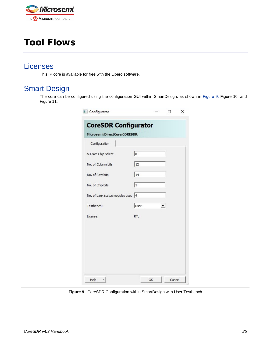

# <span id="page-22-0"></span>Tool Flows

### <span id="page-22-1"></span>Licenses

This IP core is available for free with the Libero software.

### <span id="page-22-2"></span>Smart Design

The core can be configured using the configuration GUI within SmartDesign, as shown in [Figure 9,](#page-22-3) Figure 10, and Figure 11.

| Configurator                      |            | ┐      | × |
|-----------------------------------|------------|--------|---|
| <b>CoreSDR Configurator</b>       |            |        |   |
| Microsemi:DirectCore:CORESDR:     |            |        |   |
| Configuration                     |            |        |   |
| SDRAM Chip Select                 | 8          |        |   |
| No. of Column bits                | 12         |        |   |
| No. of Row bits                   | 14         |        |   |
| No. of Chip bits                  | 3          |        |   |
| No. of bank status modules used 4 |            |        |   |
| Testbench:                        | User       |        |   |
| License:                          | <b>RTL</b> |        |   |
|                                   |            |        |   |
|                                   |            |        |   |
|                                   |            |        |   |
|                                   |            |        |   |
|                                   |            |        |   |
| Help                              | OK         | Cancel |   |

<span id="page-22-3"></span>**Figure 9** . CoreSDR Configuration within SmartDesign with User Testbench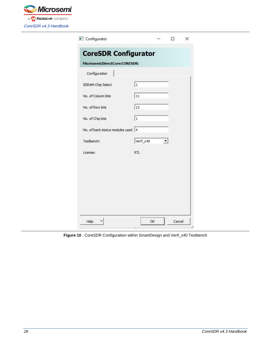

| Configurator                       |            |        | × |
|------------------------------------|------------|--------|---|
| <b>CoreSDR Configurator</b>        |            |        |   |
| Microsemi:DirectCore:CORESDR:      |            |        |   |
| Configuration                      |            |        |   |
| SDRAM Chip Select                  | $\vert$ 1  |        |   |
| No. of Column bits                 | 11         |        |   |
| No. of Row bits                    | 13         |        |   |
| No. of Chip bits                   | $\vert$ 1  |        |   |
| No. of bank status modules used  4 |            |        |   |
| Testbench:                         | Verif_x40  |        |   |
| License:                           | <b>RTL</b> |        |   |
|                                    |            |        |   |
|                                    |            |        |   |
|                                    |            |        |   |
|                                    |            |        |   |
|                                    |            |        |   |
| Help                               | OK         | Cancel |   |

**Figure 10** . CoreSDR Configuration within SmartDesign and Verif\_x40 Testbench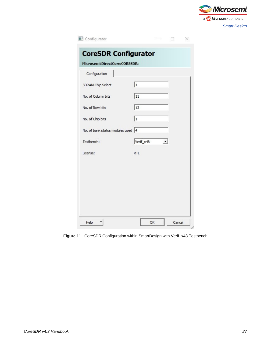

| Configurator                       |            |    |        |  |
|------------------------------------|------------|----|--------|--|
| <b>CoreSDR Configurator</b>        |            |    |        |  |
| Microsemi:DirectCore:CORESDR:      |            |    |        |  |
| Configuration                      |            |    |        |  |
| SDRAM Chip Select                  | $\vert$ 1  |    |        |  |
| No. of Column bits                 | 11         |    |        |  |
| No. of Row bits                    | 13         |    |        |  |
| No. of Chip bits                   | 1          |    |        |  |
| No. of bank status modules used  4 |            |    |        |  |
| Testbench:                         | Verif_x48  |    |        |  |
| License:                           | <b>RTL</b> |    |        |  |
|                                    |            |    |        |  |
|                                    |            |    |        |  |
|                                    |            |    |        |  |
|                                    |            |    |        |  |
|                                    |            |    |        |  |
| Help                               |            | OK | Cancel |  |

**Figure 11** . CoreSDR Configuration within SmartDesign with Verif\_x48 Testbench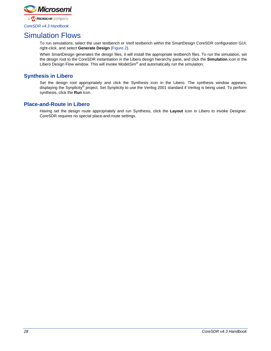

### <span id="page-25-0"></span>Simulation Flows

To run simulations, select the user testbench or Verif testbench within the SmartDesign CoreSDR configuration GUI, right-click, and select **Generate Design** [\(Figure 2\)](#page-8-2).

When SmartDesign generates the design files, it will install the appropriate testbench files. To run the simulation, set the design root to the CoreSDR instantiation in the Libero design hierarchy pane, and click the **Simulation** icon in the Libero Design Flow window. This will invoke Model*Sim*® and automatically run the simulation.

#### **Synthesis in Libero**

Set the design root appropriately and click the Synthesis icon in the Libero. The synthesis window appears, displaying the Synplicity® project. Set Synplicity to use the Verilog 2001 standard if Verilog is being used. To perform synthesis, click the **Run** icon.

#### **Place-and-Route in Libero**

Having set the design route appropriately and run Synthesis, click the **Layout** icon in Libero to invoke Designer. CoreSDR requires no special place-and-route settings.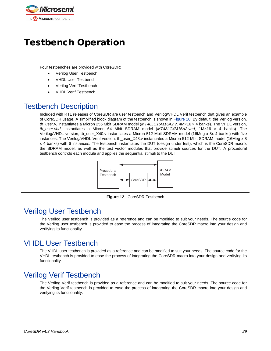

# <span id="page-26-0"></span>Testbench Operation

Four testbenches are provided with CoreSDR:

- Verilog User Testbench
- VHDL User Testbench
- Verilog Verif Testbench
- VHDL Verif Testbench

## <span id="page-26-1"></span>Testbench Description

Included with RTL releases of CoreSDR are user testbench and Verilog/VHDL Verif testbench that gives an example of CoreSDR usage. A simplified block diagram of the testbench is shown in [Figure 10.](#page-26-5) By default, the Verilog version, *tb\_user.v*, instantiates a Micron 256 Mbit SDRAM model (*MT48LC16M16A2.v*, 4M×16 × 4 banks). The VHDL version, *tb\_user.vhd*, instantiates a Micron 64 Mbit SDRAM model (*MT48LC4M16A2.vhd*, 1M×16 × 4 banks). The Verilog/VHDL version, tb\_user\_X40.v instantiates a Micron 512 Mbit SDRAM model (16Meg x 8x 4 banks) with five instances. The Verilog/VHDL Verif version, tb\_user\_X48.v instantiates a Micron 512 Mbit SDRAM model (16Meg x 8 x 4 banks) with 6 instances. The testbench instantiates the DUT (design under test), which is the CoreSDR macro, the SDRAM model, as well as the test vector modules that provide stimuli sources for the DUT. A procedural testbench controls each module and applies the sequential stimuli to the DUT



**Figure 12** . CoreSDR Testbench

### <span id="page-26-5"></span><span id="page-26-2"></span>Verilog User Testbench

The Verilog user testbench is provided as a reference and can be modified to suit your needs. The source code for the Verilog user testbench is provided to ease the process of integrating the CoreSDR macro into your design and verifying its functionality.

### <span id="page-26-3"></span>VHDL User Testbench

The VHDL user testbench is provided as a reference and can be modified to suit your needs. The source code for the VHDL testbench is provided to ease the process of integrating the CoreSDR macro into your design and verifying its functionality.

### <span id="page-26-4"></span>Verilog Verif Testbench

The Verilog Verif testbench is provided as a reference and can be modified to suit your needs. The source code for the Verilog Verif testbench is provided to ease the process of integrating the CoreSDR macro into your design and verifying its functionality.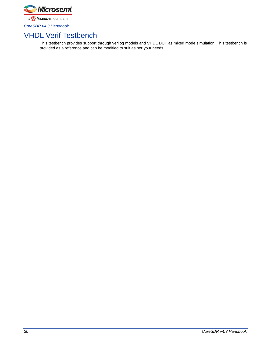

# <span id="page-27-0"></span>VHDL Verif Testbench

This testbench provides support through verilog models and VHDL DUT as mixed mode simulation. This testbench is provided as a reference and can be modified to suit as per your needs.